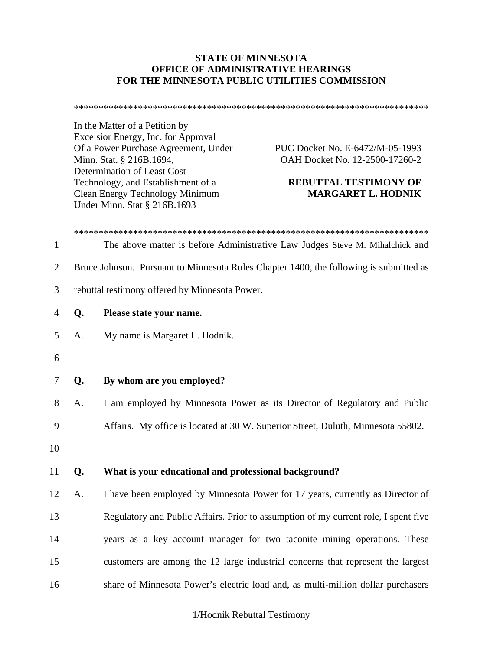### **STATE OF MINNESOTA OFFICE OF ADMINISTRATIVE HEARINGS FOR THE MINNESOTA PUBLIC UTILITIES COMMISSION**

\*\*\*\*\*\*\*\*\*\*\*\*\*\*\*\*\*\*\*\*\*\*\*\*\*\*\*\*\*\*\*\*\*\*\*\*\*\*\*\*\*\*\*\*\*\*\*\*\*\*\*\*\*\*\*\*\*\*\*\*\*\*\*\*\*\*\*\*\*\*\*\*

In the Matter of a Petition by Excelsior Energy, Inc. for Approval Of a Power Purchase Agreement, Under PUC Docket No. E-6472/M-05-1993 Minn. Stat. § 216B.1694, **OAH Docket No. 12-2500-17260-2** Determination of Least Cost Technology, and Establishment of a **REBUTTAL TESTIMONY OF**  Clean Energy Technology Minimum **MARGARET L. HODNIK**  Under Minn. Stat § 216B.1693

| 1              |    | The above matter is before Administrative Law Judges Steve M. Mihalchick and           |
|----------------|----|----------------------------------------------------------------------------------------|
| $\overline{2}$ |    | Bruce Johnson. Pursuant to Minnesota Rules Chapter 1400, the following is submitted as |
| 3              |    | rebuttal testimony offered by Minnesota Power.                                         |
| $\overline{4}$ | Q. | Please state your name.                                                                |
| 5              | A. | My name is Margaret L. Hodnik.                                                         |
| 6              |    |                                                                                        |
| $\tau$         | Q. | By whom are you employed?                                                              |
| 8              | A. | I am employed by Minnesota Power as its Director of Regulatory and Public              |
| 9              |    | Affairs. My office is located at 30 W. Superior Street, Duluth, Minnesota 55802.       |
| 10             |    |                                                                                        |
| 11             | Q. | What is your educational and professional background?                                  |
| 12             | A. | I have been employed by Minnesota Power for 17 years, currently as Director of         |
| 13             |    | Regulatory and Public Affairs. Prior to assumption of my current role, I spent five    |
| 14             |    | years as a key account manager for two taconite mining operations. These               |
| 15             |    | customers are among the 12 large industrial concerns that represent the largest        |
| 16             |    | share of Minnesota Power's electric load and, as multi-million dollar purchasers       |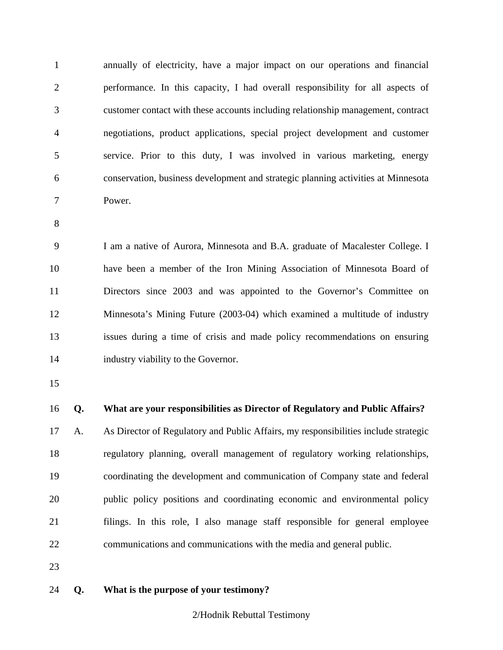1 annually of electricity, have a major impact on our operations and financial 2 performance. In this capacity, I had overall responsibility for all aspects of 3 customer contact with these accounts including relationship management, contract 4 negotiations, product applications, special project development and customer 5 service. Prior to this duty, I was involved in various marketing, energy 6 conservation, business development and strategic planning activities at Minnesota 7 Power.

8

9 I am a native of Aurora, Minnesota and B.A. graduate of Macalester College. I 10 have been a member of the Iron Mining Association of Minnesota Board of 11 Directors since 2003 and was appointed to the Governor's Committee on 12 Minnesota's Mining Future (2003-04) which examined a multitude of industry 13 issues during a time of crisis and made policy recommendations on ensuring 14 industry viability to the Governor.

15

### 16 **Q. What are your responsibilities as Director of Regulatory and Public Affairs?**

17 A. As Director of Regulatory and Public Affairs, my responsibilities include strategic 18 regulatory planning, overall management of regulatory working relationships, 19 coordinating the development and communication of Company state and federal 20 public policy positions and coordinating economic and environmental policy 21 filings. In this role, I also manage staff responsible for general employee 22 communications and communications with the media and general public.

23

#### 24 **Q. What is the purpose of your testimony?**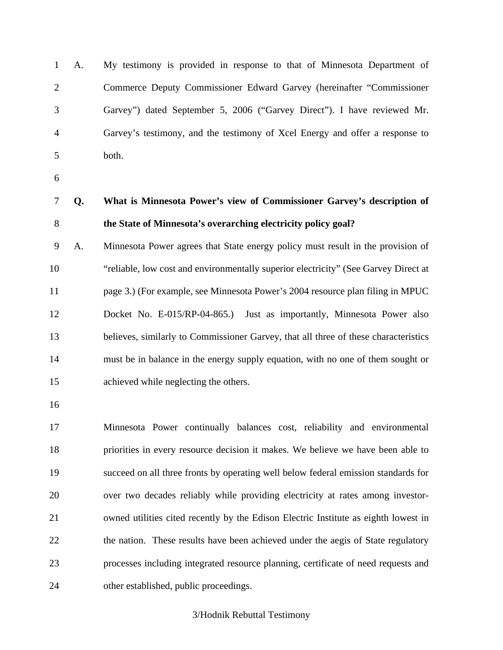1 A. My testimony is provided in response to that of Minnesota Department of 2 Commerce Deputy Commissioner Edward Garvey (hereinafter "Commissioner 3 Garvey") dated September 5, 2006 ("Garvey Direct"). I have reviewed Mr. 4 Garvey's testimony, and the testimony of Xcel Energy and offer a response to 5 both.

6

7 **Q. What is Minnesota Power's view of Commissioner Garvey's description of**  8 **the State of Minnesota's overarching electricity policy goal?** 

9 A. Minnesota Power agrees that State energy policy must result in the provision of 10 "reliable, low cost and environmentally superior electricity" (See Garvey Direct at 11 page 3.) (For example, see Minnesota Power's 2004 resource plan filing in MPUC 12 Docket No. E-015/RP-04-865.) Just as importantly, Minnesota Power also 13 believes, similarly to Commissioner Garvey, that all three of these characteristics 14 must be in balance in the energy supply equation, with no one of them sought or 15 achieved while neglecting the others.

16

17 Minnesota Power continually balances cost, reliability and environmental 18 priorities in every resource decision it makes. We believe we have been able to 19 succeed on all three fronts by operating well below federal emission standards for 20 over two decades reliably while providing electricity at rates among investor-21 owned utilities cited recently by the Edison Electric Institute as eighth lowest in 22 the nation. These results have been achieved under the aegis of State regulatory 23 processes including integrated resource planning, certificate of need requests and 24 other established, public proceedings.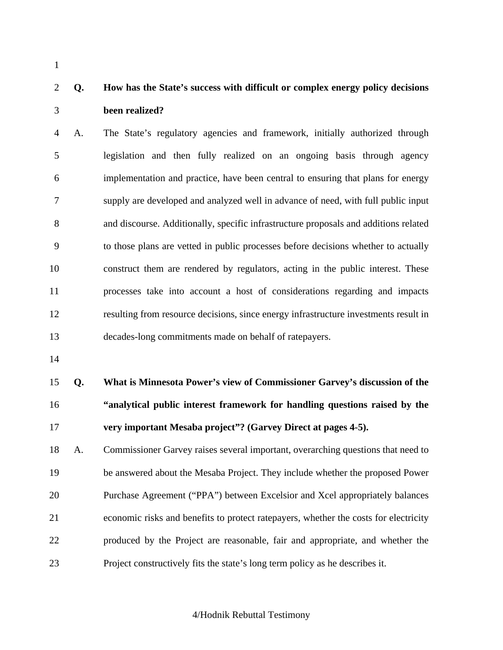1

### 2 **Q. How has the State's success with difficult or complex energy policy decisions**  3 **been realized?**

4 A. The State's regulatory agencies and framework, initially authorized through 5 legislation and then fully realized on an ongoing basis through agency 6 implementation and practice, have been central to ensuring that plans for energy 7 supply are developed and analyzed well in advance of need, with full public input 8 and discourse. Additionally, specific infrastructure proposals and additions related 9 to those plans are vetted in public processes before decisions whether to actually 10 construct them are rendered by regulators, acting in the public interest. These 11 processes take into account a host of considerations regarding and impacts 12 resulting from resource decisions, since energy infrastructure investments result in 13 decades-long commitments made on behalf of ratepayers.

14

15 **Q. What is Minnesota Power's view of Commissioner Garvey's discussion of the**  16 **"analytical public interest framework for handling questions raised by the**  17 **very important Mesaba project"? (Garvey Direct at pages 4-5).** 

18 A. Commissioner Garvey raises several important, overarching questions that need to 19 be answered about the Mesaba Project. They include whether the proposed Power 20 Purchase Agreement ("PPA") between Excelsior and Xcel appropriately balances 21 economic risks and benefits to protect ratepayers, whether the costs for electricity 22 produced by the Project are reasonable, fair and appropriate, and whether the 23 Project constructively fits the state's long term policy as he describes it.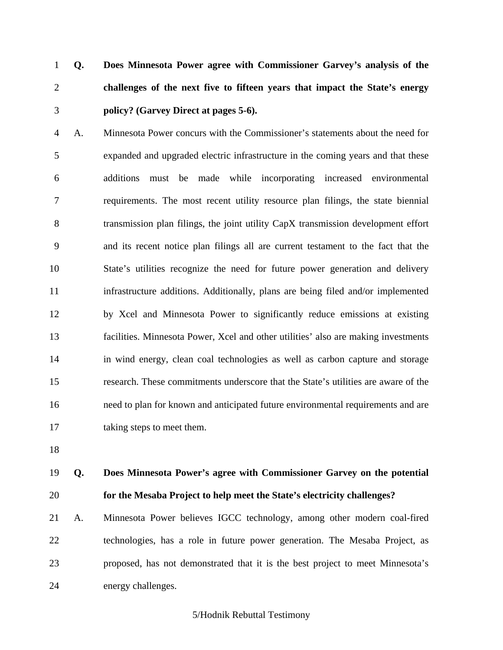1 **Q. Does Minnesota Power agree with Commissioner Garvey's analysis of the**  2 **challenges of the next five to fifteen years that impact the State's energy**  3 **policy? (Garvey Direct at pages 5-6).** 

4 A. Minnesota Power concurs with the Commissioner's statements about the need for 5 expanded and upgraded electric infrastructure in the coming years and that these 6 additions must be made while incorporating increased environmental 7 requirements. The most recent utility resource plan filings, the state biennial 8 transmission plan filings, the joint utility CapX transmission development effort 9 and its recent notice plan filings all are current testament to the fact that the 10 State's utilities recognize the need for future power generation and delivery 11 infrastructure additions. Additionally, plans are being filed and/or implemented 12 by Xcel and Minnesota Power to significantly reduce emissions at existing 13 facilities. Minnesota Power, Xcel and other utilities' also are making investments 14 in wind energy, clean coal technologies as well as carbon capture and storage 15 research. These commitments underscore that the State's utilities are aware of the 16 need to plan for known and anticipated future environmental requirements and are 17 taking steps to meet them.

18

### 19 **Q. Does Minnesota Power's agree with Commissioner Garvey on the potential**  20 **for the Mesaba Project to help meet the State's electricity challenges?**

21 A. Minnesota Power believes IGCC technology, among other modern coal-fired 22 technologies, has a role in future power generation. The Mesaba Project, as 23 proposed, has not demonstrated that it is the best project to meet Minnesota's 24 energy challenges.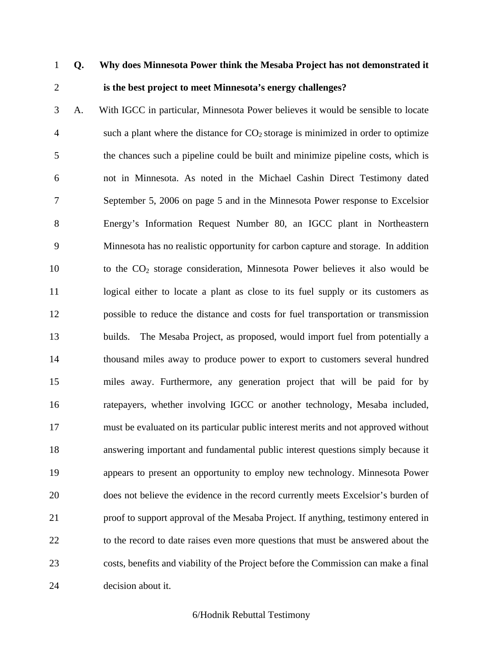### 1 **Q. Why does Minnesota Power think the Mesaba Project has not demonstrated it**  2 **is the best project to meet Minnesota's energy challenges?**

3 A. With IGCC in particular, Minnesota Power believes it would be sensible to locate 4 such a plant where the distance for  $CO<sub>2</sub>$  storage is minimized in order to optimize 5 the chances such a pipeline could be built and minimize pipeline costs, which is 6 not in Minnesota. As noted in the Michael Cashin Direct Testimony dated 7 September 5, 2006 on page 5 and in the Minnesota Power response to Excelsior 8 Energy's Information Request Number 80, an IGCC plant in Northeastern 9 Minnesota has no realistic opportunity for carbon capture and storage. In addition 10 to the CO2 storage consideration, Minnesota Power believes it also would be 11 logical either to locate a plant as close to its fuel supply or its customers as 12 possible to reduce the distance and costs for fuel transportation or transmission 13 builds. The Mesaba Project, as proposed, would import fuel from potentially a 14 thousand miles away to produce power to export to customers several hundred 15 miles away. Furthermore, any generation project that will be paid for by 16 ratepayers, whether involving IGCC or another technology, Mesaba included, 17 must be evaluated on its particular public interest merits and not approved without 18 answering important and fundamental public interest questions simply because it 19 appears to present an opportunity to employ new technology. Minnesota Power 20 does not believe the evidence in the record currently meets Excelsior's burden of 21 proof to support approval of the Mesaba Project. If anything, testimony entered in 22 to the record to date raises even more questions that must be answered about the 23 costs, benefits and viability of the Project before the Commission can make a final 24 decision about it.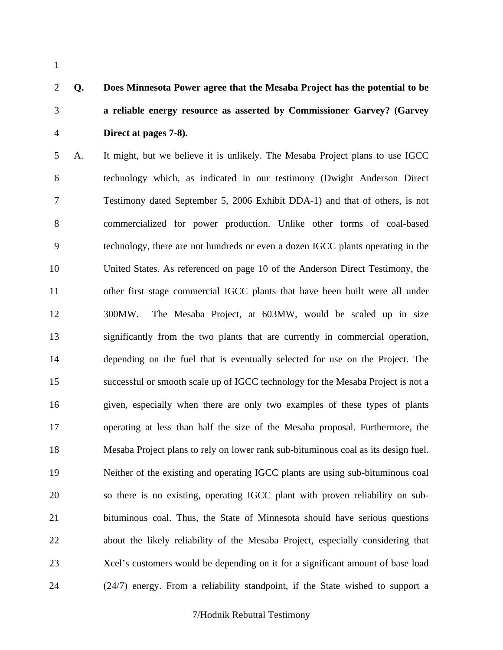1

# 2 **Q. Does Minnesota Power agree that the Mesaba Project has the potential to be**  3 **a reliable energy resource as asserted by Commissioner Garvey? (Garvey**  4 **Direct at pages 7-8).**

5 A. It might, but we believe it is unlikely. The Mesaba Project plans to use IGCC 6 technology which, as indicated in our testimony (Dwight Anderson Direct 7 Testimony dated September 5, 2006 Exhibit DDA-1) and that of others, is not 8 commercialized for power production. Unlike other forms of coal-based 9 technology, there are not hundreds or even a dozen IGCC plants operating in the 10 United States. As referenced on page 10 of the Anderson Direct Testimony, the 11 other first stage commercial IGCC plants that have been built were all under 12 300MW. The Mesaba Project, at 603MW, would be scaled up in size 13 significantly from the two plants that are currently in commercial operation, 14 depending on the fuel that is eventually selected for use on the Project. The 15 successful or smooth scale up of IGCC technology for the Mesaba Project is not a 16 given, especially when there are only two examples of these types of plants 17 operating at less than half the size of the Mesaba proposal. Furthermore, the 18 Mesaba Project plans to rely on lower rank sub-bituminous coal as its design fuel. 19 Neither of the existing and operating IGCC plants are using sub-bituminous coal 20 so there is no existing, operating IGCC plant with proven reliability on sub-21 bituminous coal. Thus, the State of Minnesota should have serious questions 22 about the likely reliability of the Mesaba Project, especially considering that 23 Xcel's customers would be depending on it for a significant amount of base load 24 (24/7) energy. From a reliability standpoint, if the State wished to support a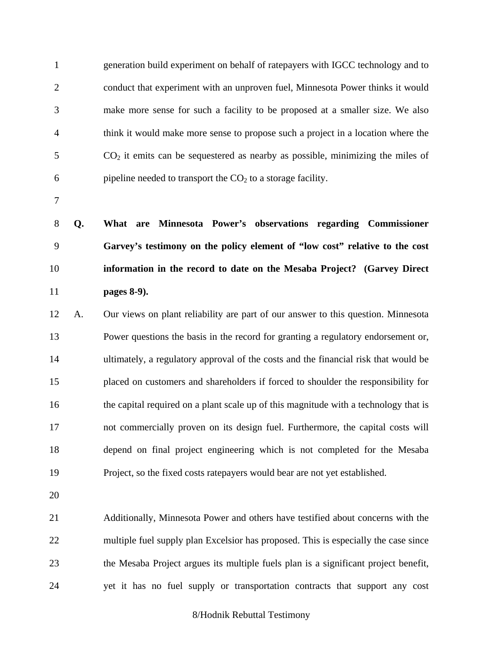1 generation build experiment on behalf of ratepayers with IGCC technology and to 2 conduct that experiment with an unproven fuel, Minnesota Power thinks it would 3 make more sense for such a facility to be proposed at a smaller size. We also 4 think it would make more sense to propose such a project in a location where the  $5$  CO<sub>2</sub> it emits can be sequestered as nearby as possible, minimizing the miles of 6 pipeline needed to transport the  $CO<sub>2</sub>$  to a storage facility.

7

**Q. What are Minnesota Power's observations regarding Commissioner Garvey's testimony on the policy element of "low cost" relative to the cost information in the record to date on the Mesaba Project? (Garvey Direct pages 8-9).** 

12 A. Our views on plant reliability are part of our answer to this question. Minnesota 13 Power questions the basis in the record for granting a regulatory endorsement or, 14 ultimately, a regulatory approval of the costs and the financial risk that would be 15 placed on customers and shareholders if forced to shoulder the responsibility for 16 the capital required on a plant scale up of this magnitude with a technology that is 17 not commercially proven on its design fuel. Furthermore, the capital costs will 18 depend on final project engineering which is not completed for the Mesaba 19 Project, so the fixed costs ratepayers would bear are not yet established.

20

21 Additionally, Minnesota Power and others have testified about concerns with the 22 multiple fuel supply plan Excelsior has proposed. This is especially the case since 23 the Mesaba Project argues its multiple fuels plan is a significant project benefit, 24 yet it has no fuel supply or transportation contracts that support any cost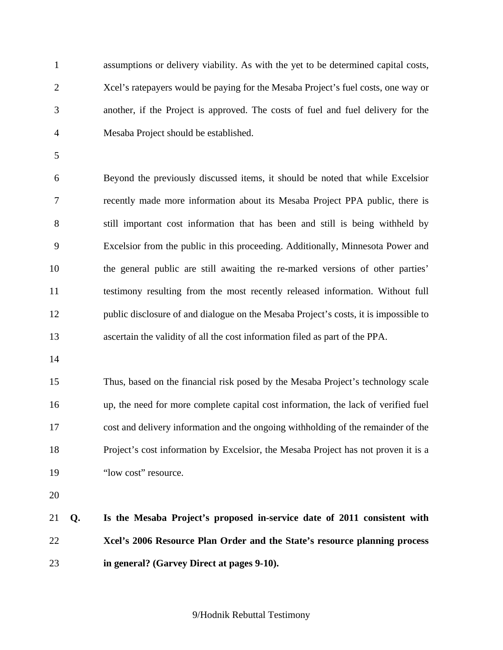1 assumptions or delivery viability. As with the yet to be determined capital costs, 2 Xcel's ratepayers would be paying for the Mesaba Project's fuel costs, one way or 3 another, if the Project is approved. The costs of fuel and fuel delivery for the 4 Mesaba Project should be established.

5

6 Beyond the previously discussed items, it should be noted that while Excelsior 7 recently made more information about its Mesaba Project PPA public, there is 8 still important cost information that has been and still is being withheld by 9 Excelsior from the public in this proceeding. Additionally, Minnesota Power and 10 the general public are still awaiting the re-marked versions of other parties' 11 testimony resulting from the most recently released information. Without full 12 public disclosure of and dialogue on the Mesaba Project's costs, it is impossible to 13 ascertain the validity of all the cost information filed as part of the PPA.

14

15 Thus, based on the financial risk posed by the Mesaba Project's technology scale 16 up, the need for more complete capital cost information, the lack of verified fuel 17 cost and delivery information and the ongoing withholding of the remainder of the 18 Project's cost information by Excelsior, the Mesaba Project has not proven it is a 19 "low cost" resource.

20

21 **Q. Is the Mesaba Project's proposed in-service date of 2011 consistent with**  22 **Xcel's 2006 Resource Plan Order and the State's resource planning process**  23 **in general? (Garvey Direct at pages 9-10).**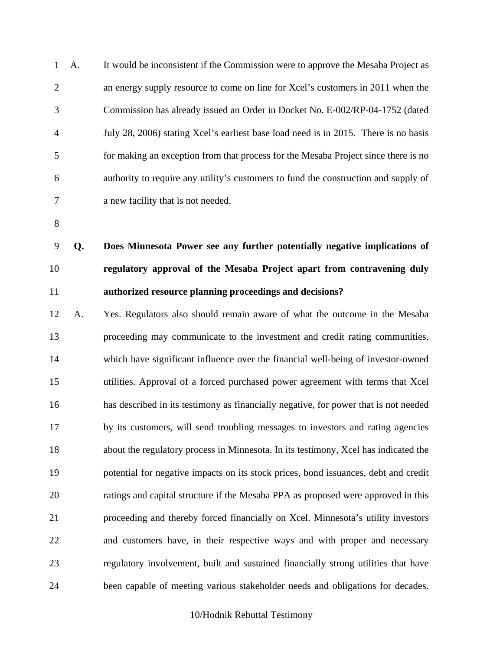1 A. It would be inconsistent if the Commission were to approve the Mesaba Project as 2 an energy supply resource to come on line for Xcel's customers in 2011 when the 3 Commission has already issued an Order in Docket No. E-002/RP-04-1752 (dated 4 July 28, 2006) stating Xcel's earliest base load need is in 2015. There is no basis 5 for making an exception from that process for the Mesaba Project since there is no 6 authority to require any utility's customers to fund the construction and supply of 7 a new facility that is not needed.

8

9 **Q. Does Minnesota Power see any further potentially negative implications of**  10 **regulatory approval of the Mesaba Project apart from contravening duly**  11 **authorized resource planning proceedings and decisions?** 

12 A. Yes. Regulators also should remain aware of what the outcome in the Mesaba 13 proceeding may communicate to the investment and credit rating communities, 14 which have significant influence over the financial well-being of investor-owned 15 utilities. Approval of a forced purchased power agreement with terms that Xcel 16 has described in its testimony as financially negative, for power that is not needed 17 by its customers, will send troubling messages to investors and rating agencies 18 about the regulatory process in Minnesota. In its testimony, Xcel has indicated the 19 potential for negative impacts on its stock prices, bond issuances, debt and credit 20 ratings and capital structure if the Mesaba PPA as proposed were approved in this 21 proceeding and thereby forced financially on Xcel. Minnesota's utility investors 22 and customers have, in their respective ways and with proper and necessary 23 regulatory involvement, built and sustained financially strong utilities that have 24 been capable of meeting various stakeholder needs and obligations for decades.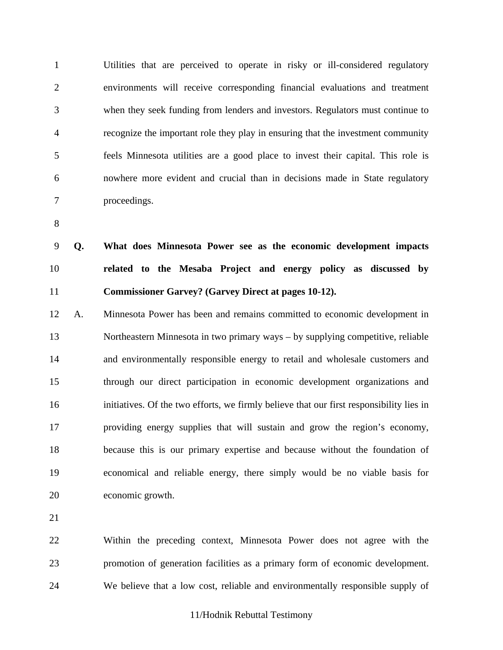1 Utilities that are perceived to operate in risky or ill-considered regulatory 2 environments will receive corresponding financial evaluations and treatment 3 when they seek funding from lenders and investors. Regulators must continue to 4 recognize the important role they play in ensuring that the investment community 5 feels Minnesota utilities are a good place to invest their capital. This role is 6 nowhere more evident and crucial than in decisions made in State regulatory 7 proceedings.

8

9 **Q. What does Minnesota Power see as the economic development impacts**  10 **related to the Mesaba Project and energy policy as discussed by**  11 **Commissioner Garvey? (Garvey Direct at pages 10-12).** 

12 A. Minnesota Power has been and remains committed to economic development in 13 Northeastern Minnesota in two primary ways – by supplying competitive, reliable 14 and environmentally responsible energy to retail and wholesale customers and 15 through our direct participation in economic development organizations and 16 initiatives. Of the two efforts, we firmly believe that our first responsibility lies in 17 providing energy supplies that will sustain and grow the region's economy, 18 because this is our primary expertise and because without the foundation of 19 economical and reliable energy, there simply would be no viable basis for 20 economic growth.

21

22 Within the preceding context, Minnesota Power does not agree with the 23 promotion of generation facilities as a primary form of economic development. 24 We believe that a low cost, reliable and environmentally responsible supply of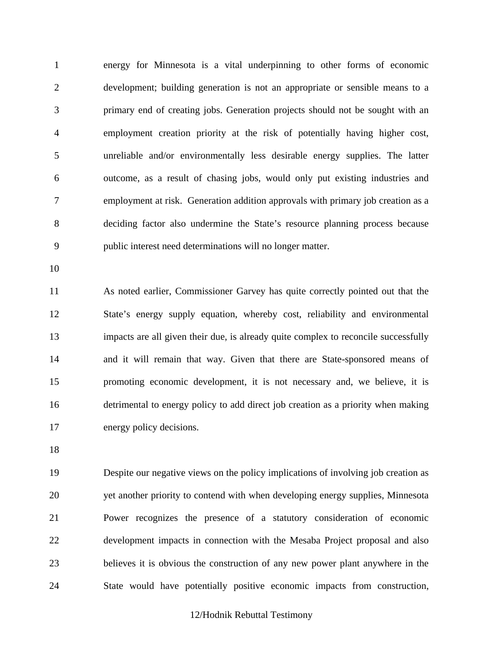1 energy for Minnesota is a vital underpinning to other forms of economic 2 development; building generation is not an appropriate or sensible means to a 3 primary end of creating jobs. Generation projects should not be sought with an 4 employment creation priority at the risk of potentially having higher cost, 5 unreliable and/or environmentally less desirable energy supplies. The latter 6 outcome, as a result of chasing jobs, would only put existing industries and 7 employment at risk. Generation addition approvals with primary job creation as a 8 deciding factor also undermine the State's resource planning process because 9 public interest need determinations will no longer matter.

10

11 As noted earlier, Commissioner Garvey has quite correctly pointed out that the 12 State's energy supply equation, whereby cost, reliability and environmental 13 impacts are all given their due, is already quite complex to reconcile successfully 14 and it will remain that way. Given that there are State-sponsored means of 15 promoting economic development, it is not necessary and, we believe, it is 16 detrimental to energy policy to add direct job creation as a priority when making 17 energy policy decisions.

18

19 Despite our negative views on the policy implications of involving job creation as 20 yet another priority to contend with when developing energy supplies, Minnesota 21 Power recognizes the presence of a statutory consideration of economic 22 development impacts in connection with the Mesaba Project proposal and also 23 believes it is obvious the construction of any new power plant anywhere in the 24 State would have potentially positive economic impacts from construction,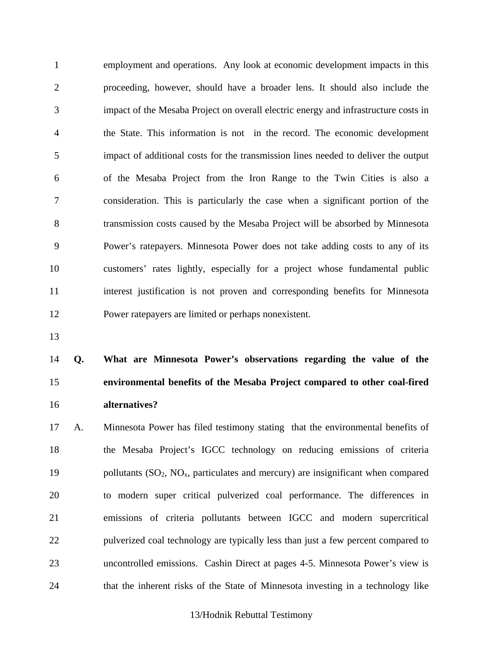1 employment and operations. Any look at economic development impacts in this 2 proceeding, however, should have a broader lens. It should also include the 3 impact of the Mesaba Project on overall electric energy and infrastructure costs in 4 the State. This information is not in the record. The economic development 5 impact of additional costs for the transmission lines needed to deliver the output 6 of the Mesaba Project from the Iron Range to the Twin Cities is also a 7 consideration. This is particularly the case when a significant portion of the 8 transmission costs caused by the Mesaba Project will be absorbed by Minnesota 9 Power's ratepayers. Minnesota Power does not take adding costs to any of its 10 customers' rates lightly, especially for a project whose fundamental public 11 interest justification is not proven and corresponding benefits for Minnesota 12 Power ratepayers are limited or perhaps nonexistent.

13

# 14 **Q. What are Minnesota Power's observations regarding the value of the**  15 **environmental benefits of the Mesaba Project compared to other coal-fired**  16 **alternatives?**

17 A. Minnesota Power has filed testimony stating that the environmental benefits of 18 the Mesaba Project's IGCC technology on reducing emissions of criteria 19 pollutants  $(SO_2, NO_x)$ , particulates and mercury) are insignificant when compared 20 to modern super critical pulverized coal performance. The differences in 21 emissions of criteria pollutants between IGCC and modern supercritical 22 pulverized coal technology are typically less than just a few percent compared to 23 uncontrolled emissions. Cashin Direct at pages 4-5. Minnesota Power's view is 24 that the inherent risks of the State of Minnesota investing in a technology like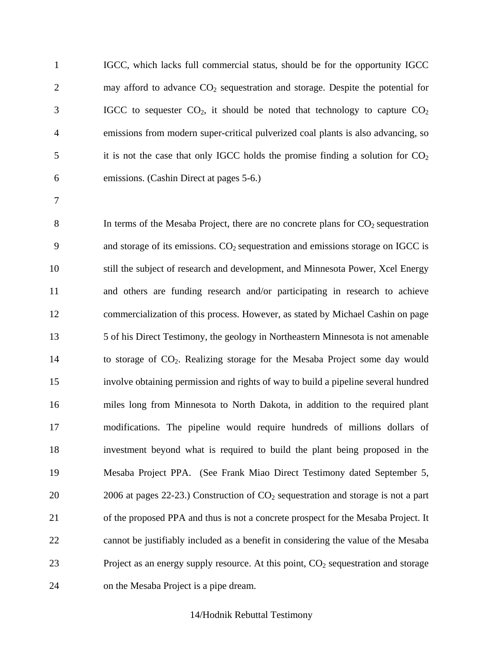1 IGCC, which lacks full commercial status, should be for the opportunity IGCC 2 may afford to advance  $CO<sub>2</sub>$  sequestration and storage. Despite the potential for  $3$  IGCC to sequester  $CO<sub>2</sub>$ , it should be noted that technology to capture  $CO<sub>2</sub>$ 4 emissions from modern super-critical pulverized coal plants is also advancing, so  $5$  it is not the case that only IGCC holds the promise finding a solution for  $CO<sub>2</sub>$ 6 emissions. (Cashin Direct at pages 5-6.)

7

8 In terms of the Mesaba Project, there are no concrete plans for  $CO<sub>2</sub>$  sequestration 9 and storage of its emissions.  $CO<sub>2</sub>$  sequestration and emissions storage on IGCC is 10 still the subject of research and development, and Minnesota Power, Xcel Energy 11 and others are funding research and/or participating in research to achieve 12 commercialization of this process. However, as stated by Michael Cashin on page 13 5 of his Direct Testimony, the geology in Northeastern Minnesota is not amenable 14 to storage of CO<sub>2</sub>. Realizing storage for the Mesaba Project some day would 15 involve obtaining permission and rights of way to build a pipeline several hundred 16 miles long from Minnesota to North Dakota, in addition to the required plant 17 modifications. The pipeline would require hundreds of millions dollars of 18 investment beyond what is required to build the plant being proposed in the 19 Mesaba Project PPA. (See Frank Miao Direct Testimony dated September 5, 20 2006 at pages 22-23.) Construction of  $CO_2$  sequestration and storage is not a part 21 of the proposed PPA and thus is not a concrete prospect for the Mesaba Project. It 22 cannot be justifiably included as a benefit in considering the value of the Mesaba 23 Project as an energy supply resource. At this point,  $CO<sub>2</sub>$  sequestration and storage 24 on the Mesaba Project is a pipe dream.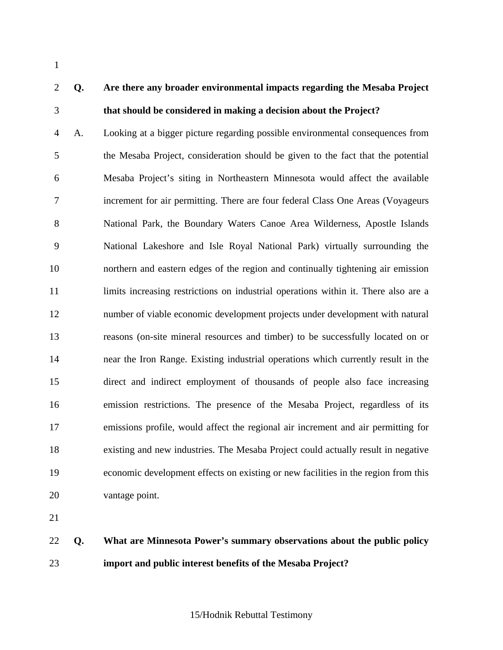1

## 2 **Q. Are there any broader environmental impacts regarding the Mesaba Project**  3 **that should be considered in making a decision about the Project?**

4 A. Looking at a bigger picture regarding possible environmental consequences from 5 the Mesaba Project, consideration should be given to the fact that the potential 6 Mesaba Project's siting in Northeastern Minnesota would affect the available 7 increment for air permitting. There are four federal Class One Areas (Voyageurs 8 National Park, the Boundary Waters Canoe Area Wilderness, Apostle Islands 9 National Lakeshore and Isle Royal National Park) virtually surrounding the 10 northern and eastern edges of the region and continually tightening air emission 11 limits increasing restrictions on industrial operations within it. There also are a 12 number of viable economic development projects under development with natural 13 reasons (on-site mineral resources and timber) to be successfully located on or 14 near the Iron Range. Existing industrial operations which currently result in the 15 direct and indirect employment of thousands of people also face increasing 16 emission restrictions. The presence of the Mesaba Project, regardless of its 17 emissions profile, would affect the regional air increment and air permitting for 18 existing and new industries. The Mesaba Project could actually result in negative 19 economic development effects on existing or new facilities in the region from this 20 vantage point.

21

22 **Q. What are Minnesota Power's summary observations about the public policy**  23 **import and public interest benefits of the Mesaba Project?**